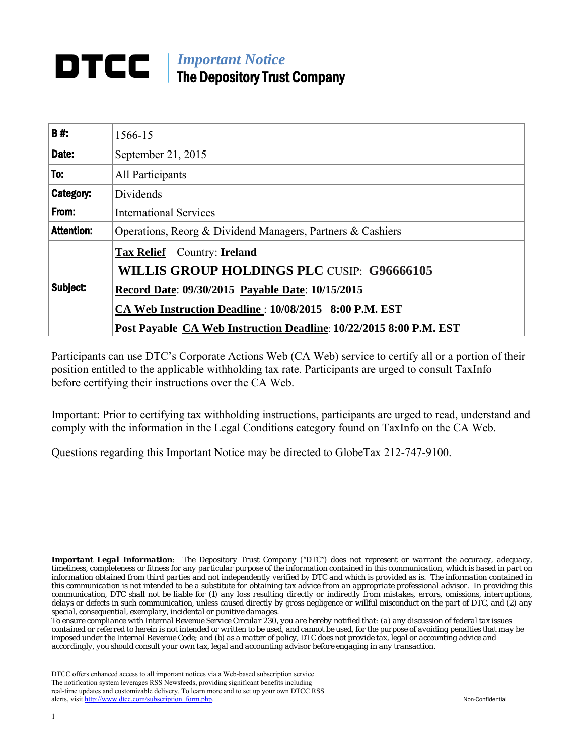# *Important Notice* The Depository Trust Company

| B#:               | 1566-15                                                            |  |  |  |
|-------------------|--------------------------------------------------------------------|--|--|--|
| Date:             | September 21, 2015                                                 |  |  |  |
| To:               | All Participants                                                   |  |  |  |
| Category:         | Dividends                                                          |  |  |  |
| From:             | <b>International Services</b>                                      |  |  |  |
| <b>Attention:</b> | Operations, Reorg & Dividend Managers, Partners & Cashiers         |  |  |  |
| Subject:          | Tax Relief – Country: Ireland                                      |  |  |  |
|                   | <b>WILLIS GROUP HOLDINGS PLC CUSIP: G96666105</b>                  |  |  |  |
|                   | Record Date: 09/30/2015 Payable Date: 10/15/2015                   |  |  |  |
|                   | CA Web Instruction Deadline: 10/08/2015 8:00 P.M. EST              |  |  |  |
|                   | Post Payable CA Web Instruction Deadline: 10/22/2015 8:00 P.M. EST |  |  |  |

Participants can use DTC's Corporate Actions Web (CA Web) service to certify all or a portion of their position entitled to the applicable withholding tax rate. Participants are urged to consult TaxInfo before certifying their instructions over the CA Web.

Important: Prior to certifying tax withholding instructions, participants are urged to read, understand and comply with the information in the Legal Conditions category found on TaxInfo on the CA Web.

Questions regarding this Important Notice may be directed to GlobeTax 212-747-9100.

*Important Legal Information: The Depository Trust Company ("DTC") does not represent or warrant the accuracy, adequacy, timeliness, completeness or fitness for any particular purpose of the information contained in this communication, which is based in part on information obtained from third parties and not independently verified by DTC and which is provided as is. The information contained in this communication is not intended to be a substitute for obtaining tax advice from an appropriate professional advisor. In providing this communication, DTC shall not be liable for (1) any loss resulting directly or indirectly from mistakes, errors, omissions, interruptions, delays or defects in such communication, unless caused directly by gross negligence or willful misconduct on the part of DTC, and (2) any special, consequential, exemplary, incidental or punitive damages.*

*To ensure compliance with Internal Revenue Service Circular 230, you are hereby notified that: (a) any discussion of federal tax issues contained or referred to herein is not intended or written to be used, and cannot be used, for the purpose of avoiding penalties that may be imposed under the Internal Revenue Code; and (b) as a matter of policy, DTC does not provide tax, legal or accounting advice and accordingly, you should consult your own tax, legal and accounting advisor before engaging in any transaction.*

DTCC offers enhanced access to all important notices via a Web-based subscription service. The notification system leverages RSS Newsfeeds, providing significant benefits including real-time updates and customizable delivery. To learn more and to set up your own DTCC RSS alerts, visit [http://www.dtcc.com/subscription\\_form.php.](http://www.dtcc.com/subscription_form.php) Non-Confidential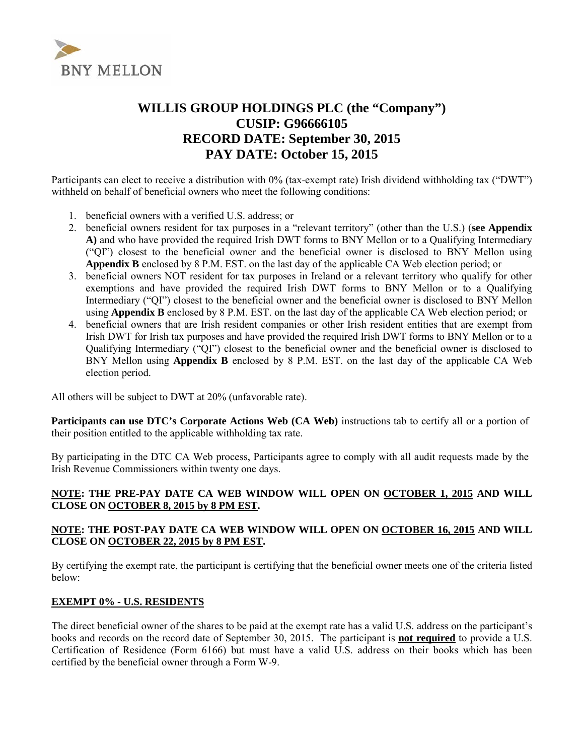

## **WILLIS GROUP HOLDINGS PLC (the "Company") CUSIP: G96666105 RECORD DATE: September 30, 2015 PAY DATE: October 15, 2015**

Participants can elect to receive a distribution with 0% (tax-exempt rate) Irish dividend withholding tax ("DWT") withheld on behalf of beneficial owners who meet the following conditions:

- 1. beneficial owners with a verified U.S. address; or
- 2. beneficial owners resident for tax purposes in a "relevant territory" (other than the U.S.) (**see Appendix A)** and who have provided the required Irish DWT forms to BNY Mellon or to a Qualifying Intermediary ("QI") closest to the beneficial owner and the beneficial owner is disclosed to BNY Mellon using **Appendix B** enclosed by 8 P.M. EST. on the last day of the applicable CA Web election period; or
- 3. beneficial owners NOT resident for tax purposes in Ireland or a relevant territory who qualify for other exemptions and have provided the required Irish DWT forms to BNY Mellon or to a Qualifying Intermediary ("QI") closest to the beneficial owner and the beneficial owner is disclosed to BNY Mellon using **Appendix B** enclosed by 8 P.M. EST. on the last day of the applicable CA Web election period; or
- 4. beneficial owners that are Irish resident companies or other Irish resident entities that are exempt from Irish DWT for Irish tax purposes and have provided the required Irish DWT forms to BNY Mellon or to a Qualifying Intermediary ("QI") closest to the beneficial owner and the beneficial owner is disclosed to BNY Mellon using **Appendix B** enclosed by 8 P.M. EST. on the last day of the applicable CA Web election period.

All others will be subject to DWT at 20% (unfavorable rate).

**Participants can use DTC's Corporate Actions Web (CA Web)** instructions tab to certify all or a portion of their position entitled to the applicable withholding tax rate.

By participating in the DTC CA Web process, Participants agree to comply with all audit requests made by the Irish Revenue Commissioners within twenty one days.

#### **NOTE: THE PRE-PAY DATE CA WEB WINDOW WILL OPEN ON OCTOBER 1, 2015 AND WILL CLOSE ON OCTOBER 8, 2015 by 8 PM EST.**

#### **NOTE: THE POST-PAY DATE CA WEB WINDOW WILL OPEN ON OCTOBER 16, 2015 AND WILL CLOSE ON OCTOBER 22, 2015 by 8 PM EST.**

By certifying the exempt rate, the participant is certifying that the beneficial owner meets one of the criteria listed below:

#### **EXEMPT 0% - U.S. RESIDENTS**

The direct beneficial owner of the shares to be paid at the exempt rate has a valid U.S. address on the participant's books and records on the record date of September 30, 2015. The participant is **not required** to provide a U.S. Certification of Residence (Form 6166) but must have a valid U.S. address on their books which has been certified by the beneficial owner through a Form W-9.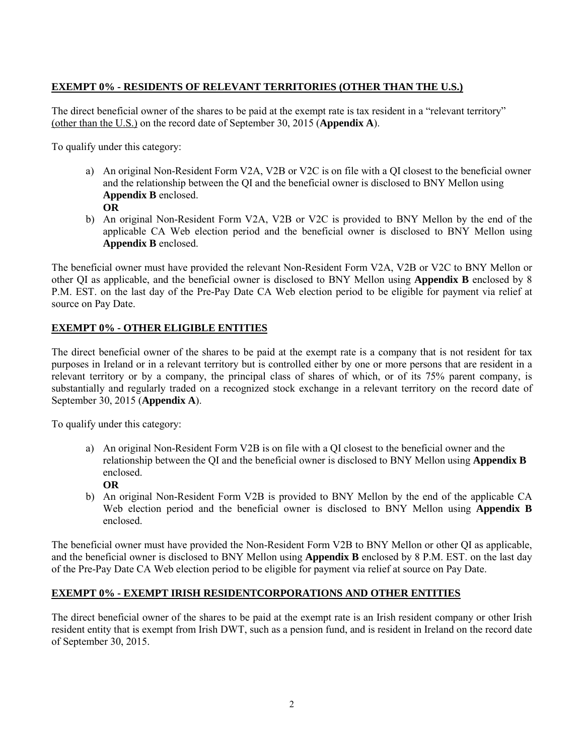## **EXEMPT 0% - RESIDENTS OF RELEVANT TERRITORIES (OTHER THAN THE U.S.)**

The direct beneficial owner of the shares to be paid at the exempt rate is tax resident in a "relevant territory" (other than the U.S.) on the record date of September 30, 2015 (**Appendix A**).

To qualify under this category:

- a) An original Non-Resident Form V2A, V2B or V2C is on file with a QI closest to the beneficial owner and the relationship between the QI and the beneficial owner is disclosed to BNY Mellon using **Appendix B** enclosed. **OR**
- b) An original Non-Resident Form V2A, V2B or V2C is provided to BNY Mellon by the end of the applicable CA Web election period and the beneficial owner is disclosed to BNY Mellon using **Appendix B** enclosed.

The beneficial owner must have provided the relevant Non-Resident Form V2A, V2B or V2C to BNY Mellon or other QI as applicable, and the beneficial owner is disclosed to BNY Mellon using **Appendix B** enclosed by 8 P.M. EST. on the last day of the Pre-Pay Date CA Web election period to be eligible for payment via relief at source on Pay Date.

## **EXEMPT 0% - OTHER ELIGIBLE ENTITIES**

The direct beneficial owner of the shares to be paid at the exempt rate is a company that is not resident for tax purposes in Ireland or in a relevant territory but is controlled either by one or more persons that are resident in a relevant territory or by a company, the principal class of shares of which, or of its 75% parent company, is substantially and regularly traded on a recognized stock exchange in a relevant territory on the record date of September 30, 2015 (**Appendix A**).

To qualify under this category:

- a) An original Non-Resident Form V2B is on file with a QI closest to the beneficial owner and the relationship between the QI and the beneficial owner is disclosed to BNY Mellon using **Appendix B**  enclosed.
	- **OR**
- b) An original Non-Resident Form V2B is provided to BNY Mellon by the end of the applicable CA Web election period and the beneficial owner is disclosed to BNY Mellon using **Appendix B** enclosed.

The beneficial owner must have provided the Non-Resident Form V2B to BNY Mellon or other QI as applicable, and the beneficial owner is disclosed to BNY Mellon using **Appendix B** enclosed by 8 P.M. EST. on the last day of the Pre-Pay Date CA Web election period to be eligible for payment via relief at source on Pay Date.

## **EXEMPT 0% - EXEMPT IRISH RESIDENTCORPORATIONS AND OTHER ENTITIES**

The direct beneficial owner of the shares to be paid at the exempt rate is an Irish resident company or other Irish resident entity that is exempt from Irish DWT, such as a pension fund, and is resident in Ireland on the record date of September 30, 2015.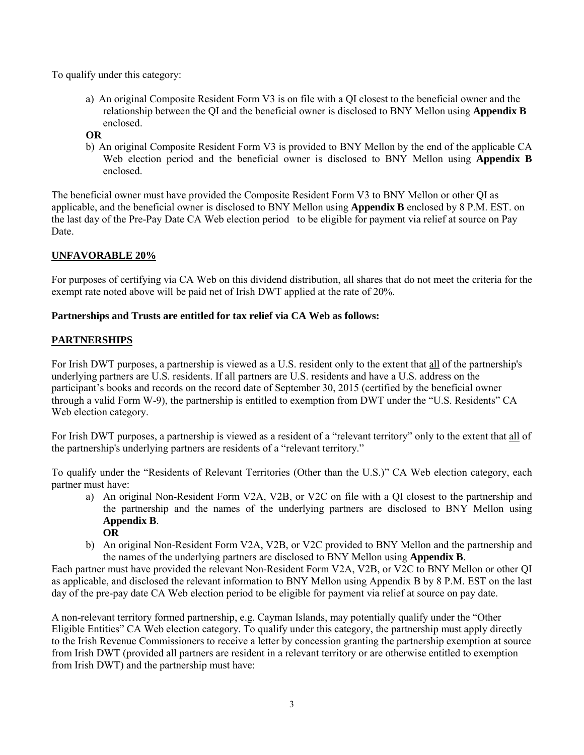To qualify under this category:

- a) An original Composite Resident Form V3 is on file with a QI closest to the beneficial owner and the relationship between the QI and the beneficial owner is disclosed to BNY Mellon using **Appendix B**  enclosed.
- **OR**
- b) An original Composite Resident Form V3 is provided to BNY Mellon by the end of the applicable CA Web election period and the beneficial owner is disclosed to BNY Mellon using **Appendix B** enclosed.

The beneficial owner must have provided the Composite Resident Form V3 to BNY Mellon or other QI as applicable, and the beneficial owner is disclosed to BNY Mellon using **Appendix B** enclosed by 8 P.M. EST. on the last day of the Pre-Pay Date CA Web election period to be eligible for payment via relief at source on Pay Date.

## **UNFAVORABLE 20%**

For purposes of certifying via CA Web on this dividend distribution, all shares that do not meet the criteria for the exempt rate noted above will be paid net of Irish DWT applied at the rate of 20%.

## **Partnerships and Trusts are entitled for tax relief via CA Web as follows:**

## **PARTNERSHIPS**

For Irish DWT purposes, a partnership is viewed as a U.S. resident only to the extent that all of the partnership's underlying partners are U.S. residents. If all partners are U.S. residents and have a U.S. address on the participant's books and records on the record date of September 30, 2015 (certified by the beneficial owner through a valid Form W-9), the partnership is entitled to exemption from DWT under the "U.S. Residents" CA Web election category.

For Irish DWT purposes, a partnership is viewed as a resident of a "relevant territory" only to the extent that all of the partnership's underlying partners are residents of a "relevant territory."

To qualify under the "Residents of Relevant Territories (Other than the U.S.)" CA Web election category, each partner must have:

- a) An original Non-Resident Form V2A, V2B, or V2C on file with a QI closest to the partnership and the partnership and the names of the underlying partners are disclosed to BNY Mellon using **Appendix B**. **OR**
- b) An original Non-Resident Form V2A, V2B, or V2C provided to BNY Mellon and the partnership and the names of the underlying partners are disclosed to BNY Mellon using **Appendix B**.

Each partner must have provided the relevant Non-Resident Form V2A, V2B, or V2C to BNY Mellon or other QI as applicable, and disclosed the relevant information to BNY Mellon using Appendix B by 8 P.M. EST on the last day of the pre-pay date CA Web election period to be eligible for payment via relief at source on pay date.

A non-relevant territory formed partnership, e.g. Cayman Islands, may potentially qualify under the "Other Eligible Entities" CA Web election category. To qualify under this category, the partnership must apply directly to the Irish Revenue Commissioners to receive a letter by concession granting the partnership exemption at source from Irish DWT (provided all partners are resident in a relevant territory or are otherwise entitled to exemption from Irish DWT) and the partnership must have: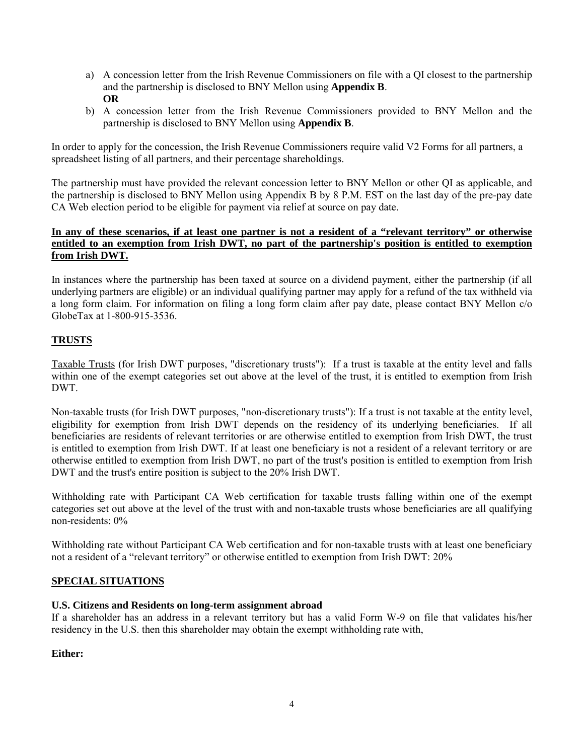- a) A concession letter from the Irish Revenue Commissioners on file with a QI closest to the partnership and the partnership is disclosed to BNY Mellon using **Appendix B**. **OR**
- b) A concession letter from the Irish Revenue Commissioners provided to BNY Mellon and the partnership is disclosed to BNY Mellon using **Appendix B**.

In order to apply for the concession, the Irish Revenue Commissioners require valid V2 Forms for all partners, a spreadsheet listing of all partners, and their percentage shareholdings.

The partnership must have provided the relevant concession letter to BNY Mellon or other QI as applicable, and the partnership is disclosed to BNY Mellon using Appendix B by 8 P.M. EST on the last day of the pre-pay date CA Web election period to be eligible for payment via relief at source on pay date.

## **In any of these scenarios, if at least one partner is not a resident of a "relevant territory" or otherwise entitled to an exemption from Irish DWT, no part of the partnership's position is entitled to exemption from Irish DWT.**

In instances where the partnership has been taxed at source on a dividend payment, either the partnership (if all underlying partners are eligible) or an individual qualifying partner may apply for a refund of the tax withheld via a long form claim. For information on filing a long form claim after pay date, please contact BNY Mellon c/o GlobeTax at 1-800-915-3536.

## **TRUSTS**

Taxable Trusts (for Irish DWT purposes, "discretionary trusts"): If a trust is taxable at the entity level and falls within one of the exempt categories set out above at the level of the trust, it is entitled to exemption from Irish DWT.

Non-taxable trusts (for Irish DWT purposes, "non-discretionary trusts"): If a trust is not taxable at the entity level, eligibility for exemption from Irish DWT depends on the residency of its underlying beneficiaries. If all beneficiaries are residents of relevant territories or are otherwise entitled to exemption from Irish DWT, the trust is entitled to exemption from Irish DWT. If at least one beneficiary is not a resident of a relevant territory or are otherwise entitled to exemption from Irish DWT, no part of the trust's position is entitled to exemption from Irish DWT and the trust's entire position is subject to the 20% Irish DWT.

Withholding rate with Participant CA Web certification for taxable trusts falling within one of the exempt categories set out above at the level of the trust with and non-taxable trusts whose beneficiaries are all qualifying non-residents: 0%

Withholding rate without Participant CA Web certification and for non-taxable trusts with at least one beneficiary not a resident of a "relevant territory" or otherwise entitled to exemption from Irish DWT: 20%

## **SPECIAL SITUATIONS**

#### **U.S. Citizens and Residents on long-term assignment abroad**

If a shareholder has an address in a relevant territory but has a valid Form W-9 on file that validates his/her residency in the U.S. then this shareholder may obtain the exempt withholding rate with,

## **Either:**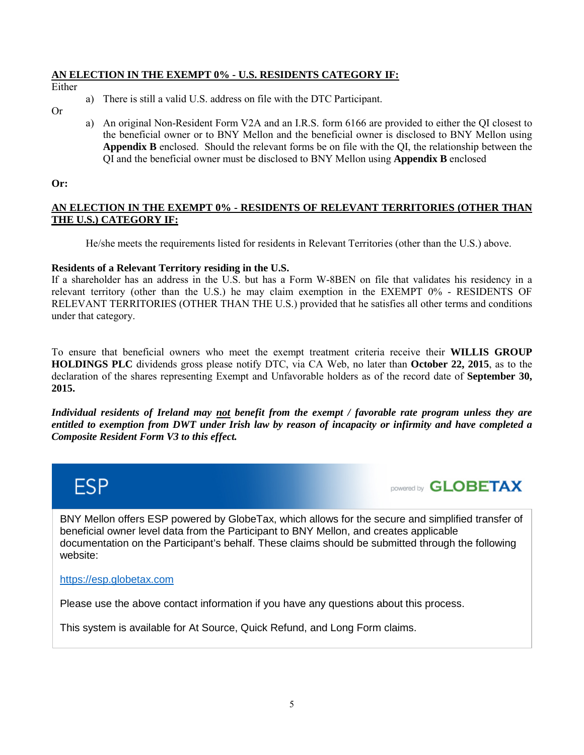#### **AN ELECTION IN THE EXEMPT 0% - U.S. RESIDENTS CATEGORY IF:**

Either

- a) There is still a valid U.S. address on file with the DTC Participant.
- Or
- a) An original Non-Resident Form V2A and an I.R.S. form 6166 are provided to either the QI closest to the beneficial owner or to BNY Mellon and the beneficial owner is disclosed to BNY Mellon using **Appendix B** enclosed. Should the relevant forms be on file with the QI, the relationship between the QI and the beneficial owner must be disclosed to BNY Mellon using **Appendix B** enclosed

#### **Or:**

## **AN ELECTION IN THE EXEMPT 0% - RESIDENTS OF RELEVANT TERRITORIES (OTHER THAN THE U.S.) CATEGORY IF:**

He/she meets the requirements listed for residents in Relevant Territories (other than the U.S.) above.

#### **Residents of a Relevant Territory residing in the U.S.**

If a shareholder has an address in the U.S. but has a Form W-8BEN on file that validates his residency in a relevant territory (other than the U.S.) he may claim exemption in the EXEMPT 0% - RESIDENTS OF RELEVANT TERRITORIES (OTHER THAN THE U.S.) provided that he satisfies all other terms and conditions under that category.

To ensure that beneficial owners who meet the exempt treatment criteria receive their **WILLIS GROUP HOLDINGS PLC** dividends gross please notify DTC, via CA Web, no later than **October 22, 2015**, as to the declaration of the shares representing Exempt and Unfavorable holders as of the record date of **September 30, 2015.**

*Individual residents of Ireland may not benefit from the exempt / favorable rate program unless they are entitled to exemption from DWT under Irish law by reason of incapacity or infirmity and have completed a Composite Resident Form V3 to this effect.*





BNY Mellon offers ESP powered by GlobeTax, which allows for the secure and simplified transfer of beneficial owner level data from the Participant to BNY Mellon, and creates applicable documentation on the Participant's behalf. These claims should be submitted through the following website:

#### [https://esp.globetax.com](https://esp.globetax.com/)

Please use the above contact information if you have any questions about this process.

This system is available for At Source, Quick Refund, and Long Form claims.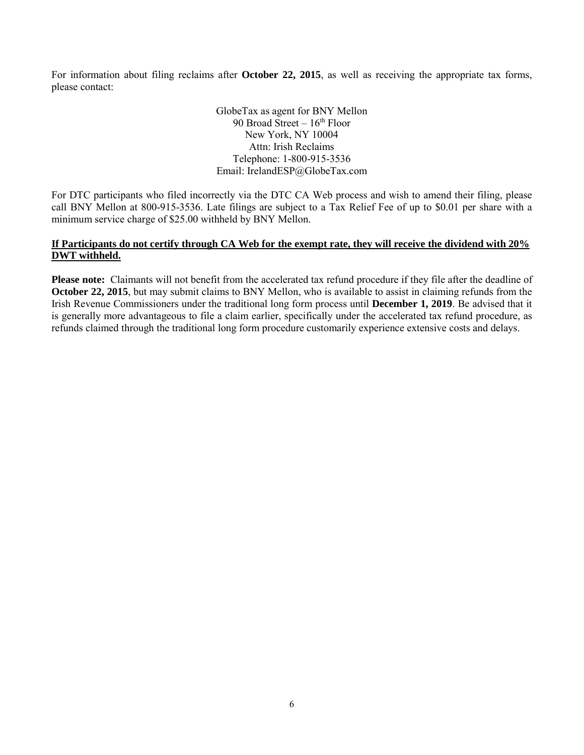For information about filing reclaims after **October 22, 2015**, as well as receiving the appropriate tax forms, please contact:

> GlobeTax as agent for BNY Mellon 90 Broad Street  $-16<sup>th</sup>$  Floor New York, NY 10004 Attn: Irish Reclaims Telephone: 1-800-915-3536 Email: IrelandESP@GlobeTax.com

For DTC participants who filed incorrectly via the DTC CA Web process and wish to amend their filing, please call BNY Mellon at 800-915-3536. Late filings are subject to a Tax Relief Fee of up to \$0.01 per share with a minimum service charge of \$25.00 withheld by BNY Mellon.

## **If Participants do not certify through CA Web for the exempt rate, they will receive the dividend with 20% DWT withheld.**

**Please note:** Claimants will not benefit from the accelerated tax refund procedure if they file after the deadline of **October 22, 2015**, but may submit claims to BNY Mellon, who is available to assist in claiming refunds from the Irish Revenue Commissioners under the traditional long form process until **December 1, 2019**. Be advised that it is generally more advantageous to file a claim earlier, specifically under the accelerated tax refund procedure, as refunds claimed through the traditional long form procedure customarily experience extensive costs and delays.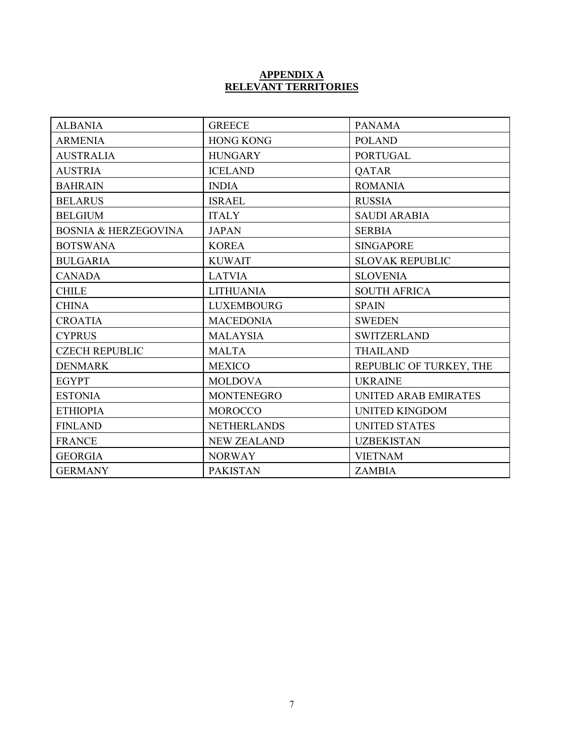#### **APPENDIX A RELEVANT TERRITORIES**

| <b>ALBANIA</b>                  | <b>GREECE</b>      | <b>PANAMA</b>               |  |
|---------------------------------|--------------------|-----------------------------|--|
| <b>ARMENIA</b>                  | <b>HONG KONG</b>   | <b>POLAND</b>               |  |
| <b>AUSTRALIA</b>                | <b>HUNGARY</b>     | <b>PORTUGAL</b>             |  |
| <b>AUSTRIA</b>                  | <b>ICELAND</b>     | <b>QATAR</b>                |  |
| <b>BAHRAIN</b>                  | <b>INDIA</b>       | <b>ROMANIA</b>              |  |
| <b>BELARUS</b>                  | <b>ISRAEL</b>      | <b>RUSSIA</b>               |  |
| <b>BELGIUM</b>                  | <b>ITALY</b>       | <b>SAUDI ARABIA</b>         |  |
| <b>BOSNIA &amp; HERZEGOVINA</b> | <b>JAPAN</b>       | <b>SERBIA</b>               |  |
| <b>BOTSWANA</b>                 | <b>KOREA</b>       | <b>SINGAPORE</b>            |  |
| <b>BULGARIA</b>                 | <b>KUWAIT</b>      | <b>SLOVAK REPUBLIC</b>      |  |
| <b>CANADA</b>                   | <b>LATVIA</b>      | <b>SLOVENIA</b>             |  |
| <b>CHILE</b>                    | <b>LITHUANIA</b>   | <b>SOUTH AFRICA</b>         |  |
| <b>CHINA</b>                    | <b>LUXEMBOURG</b>  | <b>SPAIN</b>                |  |
| <b>CROATIA</b>                  | <b>MACEDONIA</b>   | <b>SWEDEN</b>               |  |
| <b>CYPRUS</b>                   | <b>MALAYSIA</b>    | <b>SWITZERLAND</b>          |  |
| <b>CZECH REPUBLIC</b>           | <b>MALTA</b>       | <b>THAILAND</b>             |  |
| <b>DENMARK</b>                  | <b>MEXICO</b>      | REPUBLIC OF TURKEY, THE     |  |
| <b>EGYPT</b>                    | <b>MOLDOVA</b>     | <b>UKRAINE</b>              |  |
| <b>ESTONIA</b>                  | <b>MONTENEGRO</b>  | <b>UNITED ARAB EMIRATES</b> |  |
| <b>ETHIOPIA</b>                 | <b>MOROCCO</b>     | <b>UNITED KINGDOM</b>       |  |
| <b>FINLAND</b>                  | <b>NETHERLANDS</b> | <b>UNITED STATES</b>        |  |
| <b>FRANCE</b>                   | <b>NEW ZEALAND</b> | <b>UZBEKISTAN</b>           |  |
| <b>GEORGIA</b>                  | <b>NORWAY</b>      | <b>VIETNAM</b>              |  |
| <b>GERMANY</b>                  | <b>PAKISTAN</b>    | <b>ZAMBIA</b>               |  |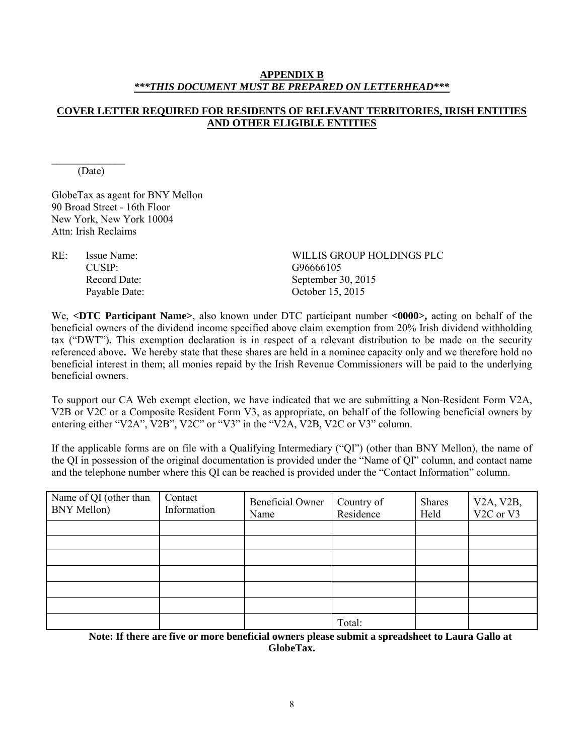#### **APPENDIX B** *\*\*\*THIS DOCUMENT MUST BE PREPARED ON LETTERHEAD\*\*\**

## **COVER LETTER REQUIRED FOR RESIDENTS OF RELEVANT TERRITORIES, IRISH ENTITIES AND OTHER ELIGIBLE ENTITIES**

 $\frac{1}{2}$ (Date)

GlobeTax as agent for BNY Mellon 90 Broad Street - 16th Floor New York, New York 10004 Attn: Irish Reclaims

CUSIP: G96666105

RE: Issue Name: WILLIS GROUP HOLDINGS PLC Record Date: September 30, 2015 Payable Date: October 15, 2015

We, **<DTC Participant Name>**, also known under DTC participant number **<0000>,** acting on behalf of the beneficial owners of the dividend income specified above claim exemption from 20% Irish dividend withholding tax ("DWT")**.** This exemption declaration is in respect of a relevant distribution to be made on the security referenced above**.** We hereby state that these shares are held in a nominee capacity only and we therefore hold no beneficial interest in them; all monies repaid by the Irish Revenue Commissioners will be paid to the underlying beneficial owners.

To support our CA Web exempt election, we have indicated that we are submitting a Non-Resident Form V2A, V2B or V2C or a Composite Resident Form V3, as appropriate, on behalf of the following beneficial owners by entering either "V2A", V2B", V2C" or "V3" in the "V2A, V2B, V2C or V3" column.

If the applicable forms are on file with a Qualifying Intermediary ("QI") (other than BNY Mellon), the name of the QI in possession of the original documentation is provided under the "Name of QI" column, and contact name and the telephone number where this QI can be reached is provided under the "Contact Information" column.

| Name of QI (other than<br><b>BNY Mellon</b> ) | Contact<br>Information | Beneficial Owner<br>Name | Country of<br>Residence | Shares<br>Held | V2A, V2B,<br>V <sub>2</sub> C or V <sub>3</sub> |
|-----------------------------------------------|------------------------|--------------------------|-------------------------|----------------|-------------------------------------------------|
|                                               |                        |                          |                         |                |                                                 |
|                                               |                        |                          |                         |                |                                                 |
|                                               |                        |                          |                         |                |                                                 |
|                                               |                        |                          |                         |                |                                                 |
|                                               |                        |                          |                         |                |                                                 |
|                                               |                        |                          |                         |                |                                                 |
|                                               |                        |                          | Total:                  |                |                                                 |

**Note: If there are five or more beneficial owners please submit a spreadsheet to Laura Gallo at GlobeTax.**